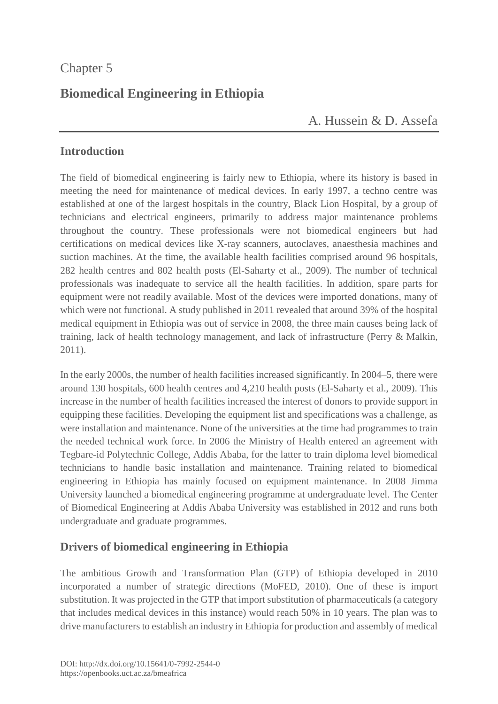# Chapter 5

# **Biomedical Engineering in Ethiopia**

# A. [Hussein](https://orcid.org/0000-0003-0061-5913) & [D. Assefa](https://orcid.org/0000-0003-2013-7840)

## **Introduction**

The field of biomedical engineering is fairly new to Ethiopia, where its history is based in meeting the need for maintenance of medical devices. In early 1997, a techno centre was established at one of the largest hospitals in the country, Black Lion Hospital, by a group of technicians and electrical engineers, primarily to address major maintenance problems throughout the country. These professionals were not biomedical engineers but had certifications on medical devices like X-ray scanners, autoclaves, anaesthesia machines and suction machines. At the time, the available health facilities comprised around 96 hospitals, 282 health centres and 802 health posts (El-Saharty et al., 2009). The number of technical professionals was inadequate to service all the health facilities. In addition, spare parts for equipment were not readily available. Most of the devices were imported donations, many of which were not functional. A study published in 2011 revealed that around 39% of the hospital medical equipment in Ethiopia was out of service in 2008, the three main causes being lack of training, lack of health technology management, and lack of infrastructure (Perry & Malkin, 2011).

In the early 2000s, the number of health facilities increased significantly. In 2004–5, there were around 130 hospitals, 600 health centres and 4,210 health posts (El-Saharty et al., 2009). This increase in the number of health facilities increased the interest of donors to provide support in equipping these facilities. Developing the equipment list and specifications was a challenge, as were installation and maintenance. None of the universities at the time had programmes to train the needed technical work force. In 2006 the Ministry of Health entered an agreement with Tegbare-id Polytechnic College, Addis Ababa, for the latter to train diploma level biomedical technicians to handle basic installation and maintenance. Training related to biomedical engineering in Ethiopia has mainly focused on equipment maintenance. In 2008 Jimma University launched a biomedical engineering programme at undergraduate level. The Center of Biomedical Engineering at Addis Ababa University was established in 2012 and runs both undergraduate and graduate programmes.

## **Drivers of biomedical engineering in Ethiopia**

The ambitious Growth and Transformation Plan (GTP) of Ethiopia developed in 2010 incorporated a number of strategic directions (MoFED, 2010). One of these is import substitution. It was projected in the GTP that import substitution of pharmaceuticals (a category that includes medical devices in this instance) would reach 50% in 10 years. The plan was to drive manufacturers to establish an industry in Ethiopia for production and assembly of medical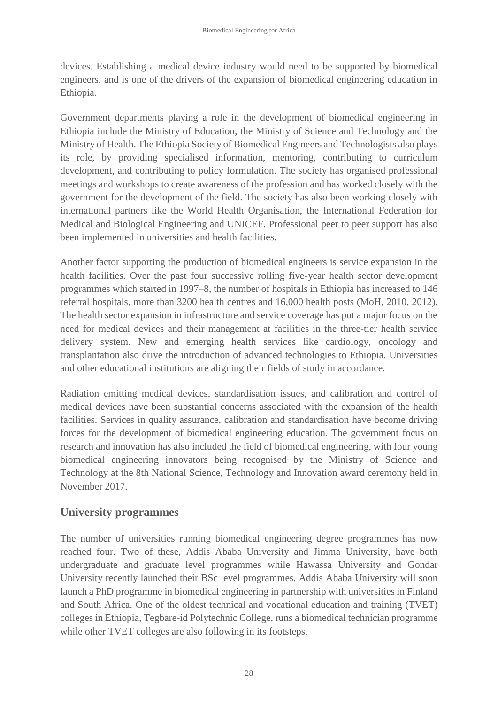devices. Establishing a medical device industry would need to be supported by biomedical engineers, and is one of the drivers of the expansion of biomedical engineering education in Ethiopia.

Government departments playing a role in the development of biomedical engineering in Ethiopia include the Ministry of Education, the Ministry of Science and Technology and the Ministry of Health. The Ethiopia Society of Biomedical Engineers and Technologists also plays its role, by providing specialised information, mentoring, contributing to curriculum development, and contributing to policy formulation. The society has organised professional meetings and workshops to create awareness of the profession and has worked closely with the government for the development of the field. The society has also been working closely with international partners like the World Health Organisation, the International Federation for Medical and Biological Engineering and UNICEF. Professional peer to peer support has also been implemented in universities and health facilities.

Another factor supporting the production of biomedical engineers is service expansion in the health facilities. Over the past four successive rolling five-year health sector development programmes which started in 1997–8, the number of hospitals in Ethiopia has increased to 146 referral hospitals, more than 3200 health centres and 16,000 health posts (MoH, 2010, 2012). The health sector expansion in infrastructure and service coverage has put a major focus on the need for medical devices and their management at facilities in the three-tier health service delivery system. New and emerging health services like cardiology, oncology and transplantation also drive the introduction of advanced technologies to Ethiopia. Universities and other educational institutions are aligning their fields of study in accordance.

Radiation emitting medical devices, standardisation issues, and calibration and control of medical devices have been substantial concerns associated with the expansion of the health facilities. Services in quality assurance, calibration and standardisation have become driving forces for the development of biomedical engineering education. The government focus on research and innovation has also included the field of biomedical engineering, with four young biomedical engineering innovators being recognised by the Ministry of Science and Technology at the 8th National Science, Technology and Innovation award ceremony held in November 2017.

### **University programmes**

The number of universities running biomedical engineering degree programmes has now reached four. Two of these, Addis Ababa University and Jimma University, have both undergraduate and graduate level programmes while Hawassa University and Gondar University recently launched their BSc level programmes. Addis Ababa University will soon launch a PhD programme in biomedical engineering in partnership with universities in Finland and South Africa. One of the oldest technical and vocational education and training (TVET) colleges in Ethiopia, Tegbare-id Polytechnic College, runs a biomedical technician programme while other TVET colleges are also following in its footsteps.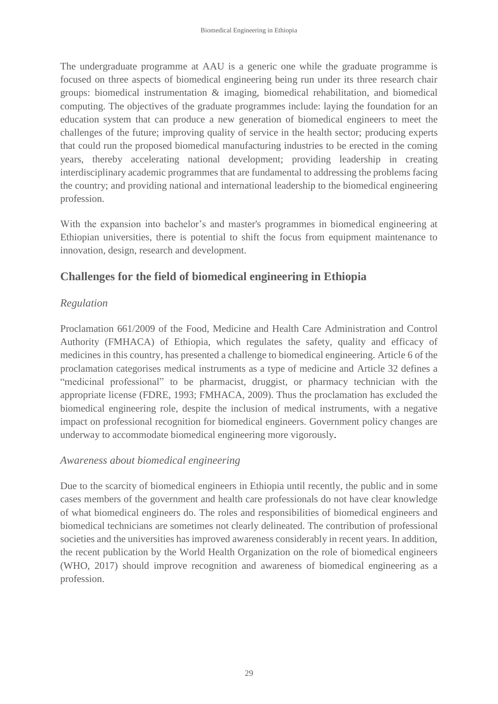The undergraduate programme at AAU is a generic one while the graduate programme is focused on three aspects of biomedical engineering being run under its three research chair groups: biomedical instrumentation & imaging, biomedical rehabilitation, and biomedical computing. The objectives of the graduate programmes include: laying the foundation for an education system that can produce a new generation of biomedical engineers to meet the challenges of the future; improving quality of service in the health sector; producing experts that could run the proposed biomedical manufacturing industries to be erected in the coming years, thereby accelerating national development; providing leadership in creating interdisciplinary academic programmes that are fundamental to addressing the problems facing the country; and providing national and international leadership to the biomedical engineering profession.

With the expansion into bachelor's and master's programmes in biomedical engineering at Ethiopian universities, there is potential to shift the focus from equipment maintenance to innovation, design, research and development.

## **Challenges for the field of biomedical engineering in Ethiopia**

### *Regulation*

Proclamation 661/2009 of the Food, Medicine and Health Care Administration and Control Authority (FMHACA) of Ethiopia, which regulates the safety, quality and efficacy of medicines in this country, has presented a challenge to biomedical engineering. Article 6 of the proclamation categorises medical instruments as a type of medicine and Article 32 defines a "medicinal professional" to be pharmacist, druggist, or pharmacy technician with the appropriate license (FDRE, 1993; FMHACA, 2009). Thus the proclamation has excluded the biomedical engineering role, despite the inclusion of medical instruments, with a negative impact on professional recognition for biomedical engineers. Government policy changes are underway to accommodate biomedical engineering more vigorously.

#### *Awareness about biomedical engineering*

Due to the scarcity of biomedical engineers in Ethiopia until recently, the public and in some cases members of the government and health care professionals do not have clear knowledge of what biomedical engineers do. The roles and responsibilities of biomedical engineers and biomedical technicians are sometimes not clearly delineated. The contribution of professional societies and the universities has improved awareness considerably in recent years. In addition, the recent publication by the World Health Organization on the role of biomedical engineers (WHO, 2017) should improve recognition and awareness of biomedical engineering as a profession.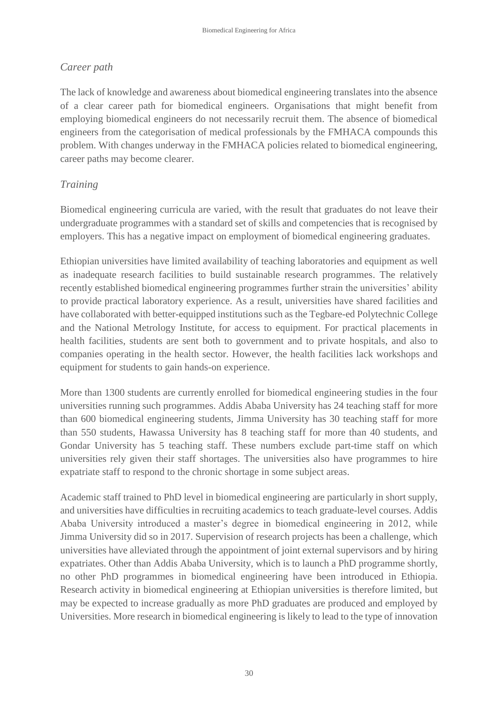### *Career path*

The lack of knowledge and awareness about biomedical engineering translates into the absence of a clear career path for biomedical engineers. Organisations that might benefit from employing biomedical engineers do not necessarily recruit them. The absence of biomedical engineers from the categorisation of medical professionals by the FMHACA compounds this problem. With changes underway in the FMHACA policies related to biomedical engineering, career paths may become clearer.

#### *Training*

Biomedical engineering curricula are varied, with the result that graduates do not leave their undergraduate programmes with a standard set of skills and competencies that is recognised by employers. This has a negative impact on employment of biomedical engineering graduates.

Ethiopian universities have limited availability of teaching laboratories and equipment as well as inadequate research facilities to build sustainable research programmes. The relatively recently established biomedical engineering programmes further strain the universities' ability to provide practical laboratory experience. As a result, universities have shared facilities and have collaborated with better-equipped institutions such as the Tegbare-ed Polytechnic College and the National Metrology Institute, for access to equipment. For practical placements in health facilities, students are sent both to government and to private hospitals, and also to companies operating in the health sector. However, the health facilities lack workshops and equipment for students to gain hands-on experience.

More than 1300 students are currently enrolled for biomedical engineering studies in the four universities running such programmes. Addis Ababa University has 24 teaching staff for more than 600 biomedical engineering students, Jimma University has 30 teaching staff for more than 550 students, Hawassa University has 8 teaching staff for more than 40 students, and Gondar University has 5 teaching staff. These numbers exclude part-time staff on which universities rely given their staff shortages. The universities also have programmes to hire expatriate staff to respond to the chronic shortage in some subject areas.

Academic staff trained to PhD level in biomedical engineering are particularly in short supply, and universities have difficulties in recruiting academics to teach graduate-level courses. Addis Ababa University introduced a master's degree in biomedical engineering in 2012, while Jimma University did so in 2017. Supervision of research projects has been a challenge, which universities have alleviated through the appointment of joint external supervisors and by hiring expatriates. Other than Addis Ababa University, which is to launch a PhD programme shortly, no other PhD programmes in biomedical engineering have been introduced in Ethiopia. Research activity in biomedical engineering at Ethiopian universities is therefore limited, but may be expected to increase gradually as more PhD graduates are produced and employed by Universities. More research in biomedical engineering is likely to lead to the type of innovation